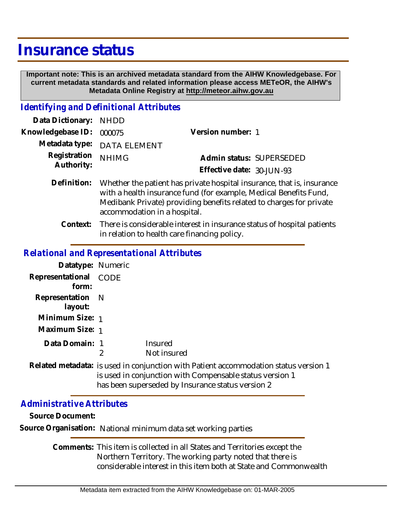## **Insurance status**

 **Important note: This is an archived metadata standard from the AIHW Knowledgebase. For current metadata standards and related information please access METeOR, the AIHW's Metadata Online Registry at http://meteor.aihw.gov.au**

## *Identifying and Definitional Attributes*

| Data Dictionary: NHDD      |                                                                                                                                                                                                                    |                           |                          |
|----------------------------|--------------------------------------------------------------------------------------------------------------------------------------------------------------------------------------------------------------------|---------------------------|--------------------------|
| Knowledgebase ID:          | 000075                                                                                                                                                                                                             | Version number: 1         |                          |
| Metadata type:             | <b>DATA ELEMENT</b>                                                                                                                                                                                                |                           |                          |
| Registration<br>Authority: | <b>NHIMG</b>                                                                                                                                                                                                       | Effective date: 30-JUN-93 | Admin status: SUPERSEDED |
| Definition:                | Whether the patient has private hospital insurance, that is, insurance<br>with a health insurance fund (for example, Medical Benefits Fund,<br>Medibank Private) providing benefits related to charges for private |                           |                          |

accommodation in a hospital.

There is considerable interest in insurance status of hospital patients in relation to health care financing policy. **Context:**

## *Relational and Representational Attributes*

| Datatype: Numeric |                                                     |
|-------------------|-----------------------------------------------------|
| CODE              |                                                     |
| Representation N  |                                                     |
| Minimum Size: 1   |                                                     |
| Data Domain: 1    | Insured                                             |
| 2                 | Not insured                                         |
|                   | Related metadata: is used in conjunction with Patie |
|                   | Maximum Size: 1                                     |

ent accommodation status version 1 is used in conjunction with Compensable status version 1 has been superseded by Insurance status version 2

## *Administrative Attributes*

**Source Document:**

**Source Organisation:** National minimum data set working parties

Comments: This item is collected in all States and Territories except the Northern Territory. The working party noted that there is considerable interest in this item both at State and Commonwealth